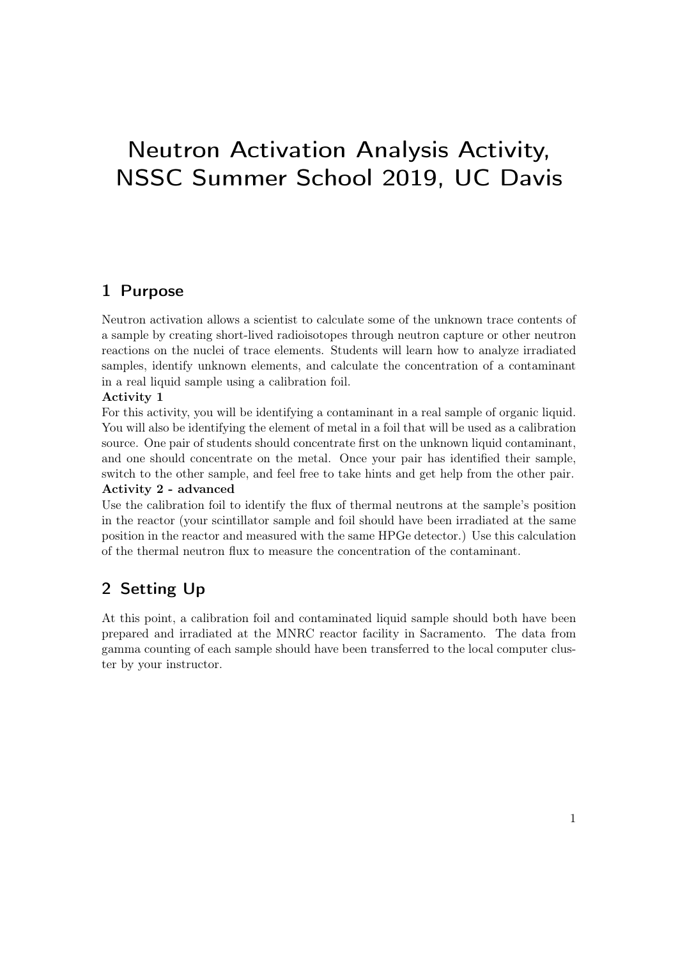# Neutron Activation Analysis Activity, NSSC Summer School 2019, UC Davis

## 1 Purpose

Neutron activation allows a scientist to calculate some of the unknown trace contents of a sample by creating short-lived radioisotopes through neutron capture or other neutron reactions on the nuclei of trace elements. Students will learn how to analyze irradiated samples, identify unknown elements, and calculate the concentration of a contaminant in a real liquid sample using a calibration foil.

## Activity 1

For this activity, you will be identifying a contaminant in a real sample of organic liquid. You will also be identifying the element of metal in a foil that will be used as a calibration source. One pair of students should concentrate first on the unknown liquid contaminant, and one should concentrate on the metal. Once your pair has identified their sample, switch to the other sample, and feel free to take hints and get help from the other pair. Activity 2 - advanced

Use the calibration foil to identify the flux of thermal neutrons at the sample's position in the reactor (your scintillator sample and foil should have been irradiated at the same position in the reactor and measured with the same HPGe detector.) Use this calculation of the thermal neutron flux to measure the concentration of the contaminant.

# 2 Setting Up

At this point, a calibration foil and contaminated liquid sample should both have been prepared and irradiated at the MNRC reactor facility in Sacramento. The data from gamma counting of each sample should have been transferred to the local computer cluster by your instructor.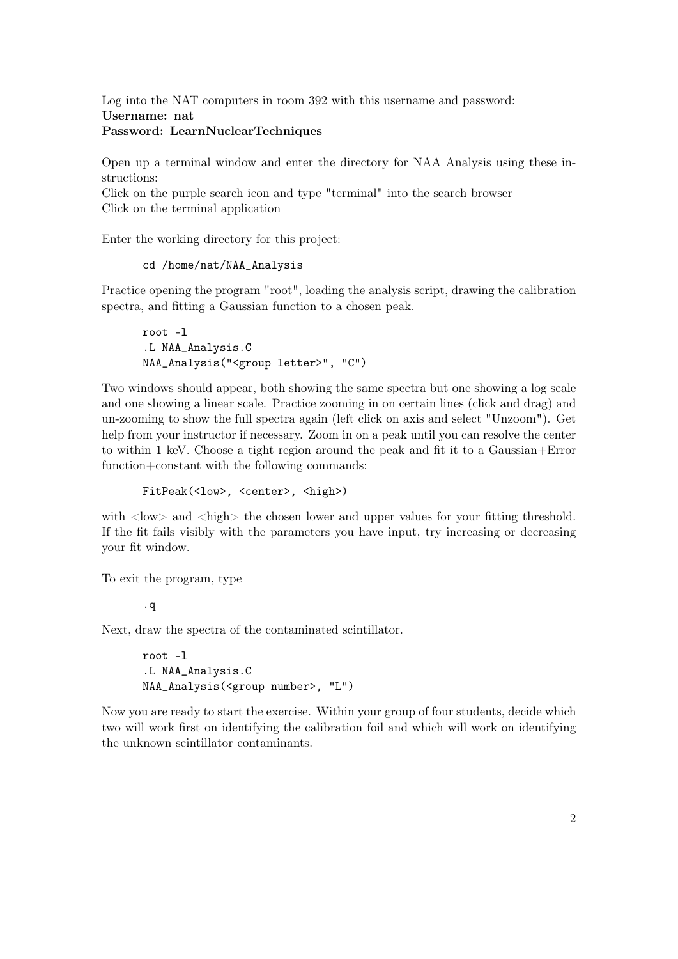Log into the NAT computers in room 392 with this username and password: Username: nat

## Password: LearnNuclearTechniques

Open up a terminal window and enter the directory for NAA Analysis using these instructions:

Click on the purple search icon and type "terminal" into the search browser Click on the terminal application

Enter the working directory for this project:

```
cd /home/nat/NAA_Analysis
```
Practice opening the program "root", loading the analysis script, drawing the calibration spectra, and fitting a Gaussian function to a chosen peak.

```
root -l
.L NAA_Analysis.C
NAA_Analysis("<group letter>", "C")
```
Two windows should appear, both showing the same spectra but one showing a log scale and one showing a linear scale. Practice zooming in on certain lines (click and drag) and un-zooming to show the full spectra again (left click on axis and select "Unzoom"). Get help from your instructor if necessary. Zoom in on a peak until you can resolve the center to within 1 keV. Choose a tight region around the peak and fit it to a Gaussian+Error function+constant with the following commands:

FitPeak(<low>, <center>, <high>)

with  $\langle$ low $\rangle$  and  $\langle$ high $\rangle$  the chosen lower and upper values for your fitting threshold. If the fit fails visibly with the parameters you have input, try increasing or decreasing your fit window.

To exit the program, type

.q

Next, draw the spectra of the contaminated scintillator.

root -l .L NAA\_Analysis.C NAA\_Analysis(<group number>, "L")

Now you are ready to start the exercise. Within your group of four students, decide which two will work first on identifying the calibration foil and which will work on identifying the unknown scintillator contaminants.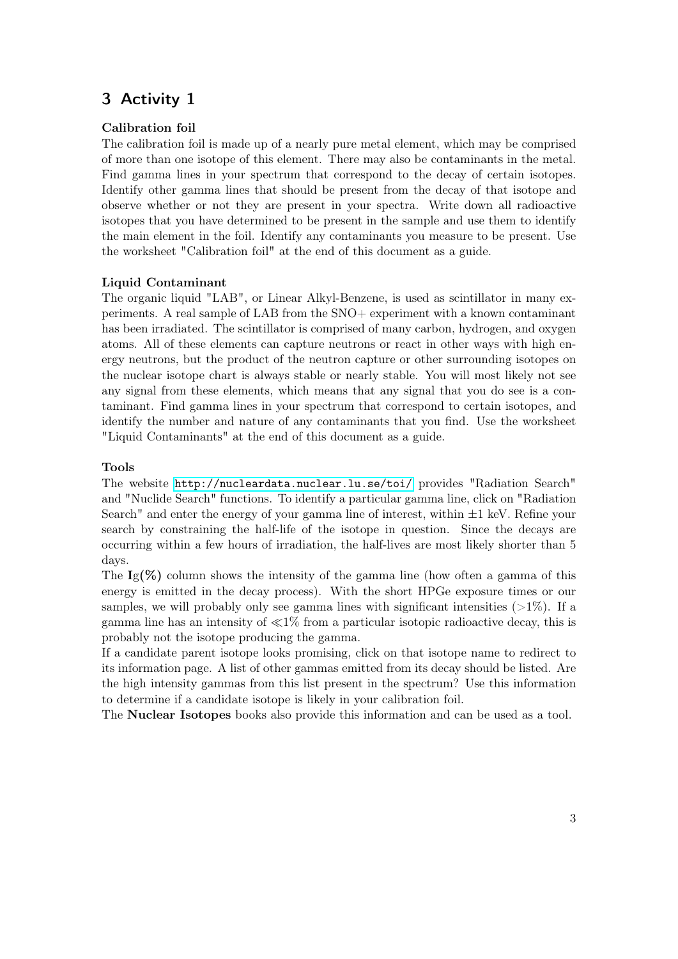# 3 Activity 1

## Calibration foil

The calibration foil is made up of a nearly pure metal element, which may be comprised of more than one isotope of this element. There may also be contaminants in the metal. Find gamma lines in your spectrum that correspond to the decay of certain isotopes. Identify other gamma lines that should be present from the decay of that isotope and observe whether or not they are present in your spectra. Write down all radioactive isotopes that you have determined to be present in the sample and use them to identify the main element in the foil. Identify any contaminants you measure to be present. Use the worksheet "Calibration foil" at the end of this document as a guide.

## Liquid Contaminant

The organic liquid "LAB", or Linear Alkyl-Benzene, is used as scintillator in many experiments. A real sample of LAB from the SNO+ experiment with a known contaminant has been irradiated. The scintillator is comprised of many carbon, hydrogen, and oxygen atoms. All of these elements can capture neutrons or react in other ways with high energy neutrons, but the product of the neutron capture or other surrounding isotopes on the nuclear isotope chart is always stable or nearly stable. You will most likely not see any signal from these elements, which means that any signal that you do see is a contaminant. Find gamma lines in your spectrum that correspond to certain isotopes, and identify the number and nature of any contaminants that you find. Use the worksheet "Liquid Contaminants" at the end of this document as a guide.

## Tools

The website <http://nucleardata.nuclear.lu.se/toi/> provides "Radiation Search" and "Nuclide Search" functions. To identify a particular gamma line, click on "Radiation Search" and enter the energy of your gamma line of interest, within  $\pm 1$  keV. Refine your search by constraining the half-life of the isotope in question. Since the decays are occurring within a few hours of irradiation, the half-lives are most likely shorter than 5 days.

The  $I_g(\%)$  column shows the intensity of the gamma line (how often a gamma of this energy is emitted in the decay process). With the short HPGe exposure times or our samples, we will probably only see gamma lines with significant intensities  $(>1\%)$ . If a gamma line has an intensity of  $\ll 1\%$  from a particular isotopic radioactive decay, this is probably not the isotope producing the gamma.

If a candidate parent isotope looks promising, click on that isotope name to redirect to its information page. A list of other gammas emitted from its decay should be listed. Are the high intensity gammas from this list present in the spectrum? Use this information to determine if a candidate isotope is likely in your calibration foil.

The Nuclear Isotopes books also provide this information and can be used as a tool.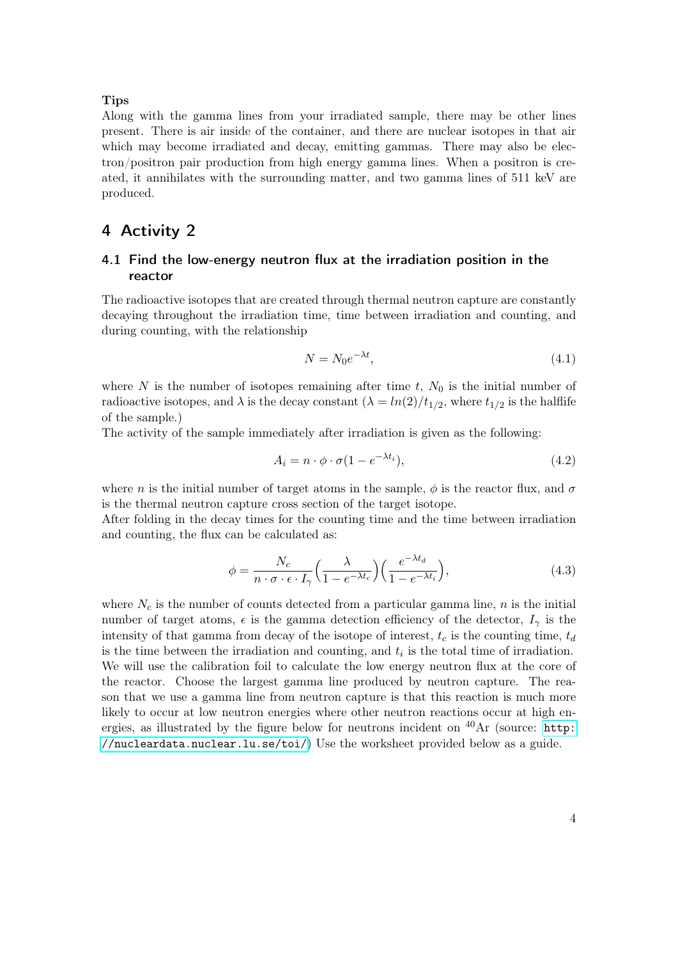#### **Tips**

Along with the gamma lines from your irradiated sample, there may be other lines present. There is air inside of the container, and there are nuclear isotopes in that air which may become irradiated and decay, emitting gammas. There may also be electron/positron pair production from high energy gamma lines. When a positron is created, it annihilates with the surrounding matter, and two gamma lines of 511 keV are produced.

## 4 Activity 2

## <span id="page-3-1"></span>4.1 Find the low-energy neutron flux at the irradiation position in the reactor

The radioactive isotopes that are created through thermal neutron capture are constantly decaying throughout the irradiation time, time between irradiation and counting, and during counting, with the relationship

$$
N = N_0 e^{-\lambda t},\tag{4.1}
$$

where N is the number of isotopes remaining after time t,  $N_0$  is the initial number of radioactive isotopes, and  $\lambda$  is the decay constant  $(\lambda = ln(2)/t_{1/2}$ , where  $t_{1/2}$  is the halflife of the sample.)

The activity of the sample immediately after irradiation is given as the following:

<span id="page-3-0"></span>
$$
A_i = n \cdot \phi \cdot \sigma (1 - e^{-\lambda t_i}), \tag{4.2}
$$

where n is the initial number of target atoms in the sample,  $\phi$  is the reactor flux, and  $\sigma$ is the thermal neutron capture cross section of the target isotope.

After folding in the decay times for the counting time and the time between irradiation and counting, the flux can be calculated as:

$$
\phi = \frac{N_c}{n \cdot \sigma \cdot \epsilon \cdot I_{\gamma}} \left(\frac{\lambda}{1 - e^{-\lambda t_c}}\right) \left(\frac{e^{-\lambda t_d}}{1 - e^{-\lambda t_i}}\right),\tag{4.3}
$$

where  $N_c$  is the number of counts detected from a particular gamma line, n is the initial number of target atoms,  $\epsilon$  is the gamma detection efficiency of the detector,  $I_{\gamma}$  is the intensity of that gamma from decay of the isotope of interest,  $t_c$  is the counting time,  $t_d$ is the time between the irradiation and counting, and  $t_i$  is the total time of irradiation. We will use the calibration foil to calculate the low energy neutron flux at the core of the reactor. Choose the largest gamma line produced by neutron capture. The reason that we use a gamma line from neutron capture is that this reaction is much more likely to occur at low neutron energies where other neutron reactions occur at high energies, as illustrated by the figure below for neutrons incident on  ${}^{40}\text{Ar}$  (source: [http:](http://nucleardata.nuclear.lu.se/toi/ ) [//nucleardata.nuclear.lu.se/toi/](http://nucleardata.nuclear.lu.se/toi/ )) Use the worksheet provided below as a guide.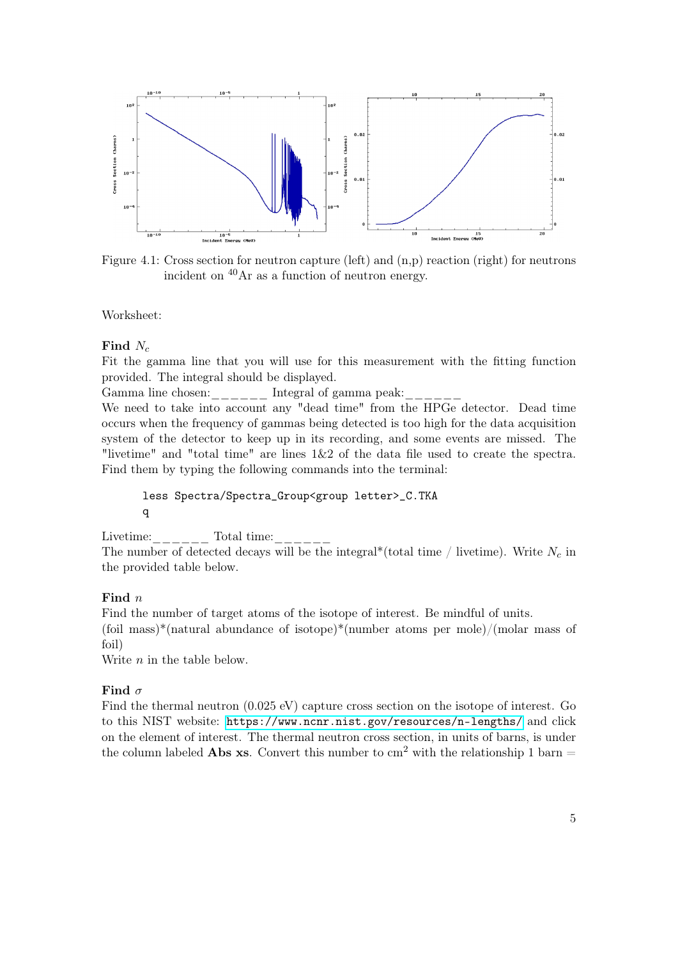

Figure 4.1: Cross section for neutron capture (left) and (n,p) reaction (right) for neutrons incident on <sup>40</sup>Ar as a function of neutron energy.

Worksheet:

#### Find  $N_c$

Fit the gamma line that you will use for this measurement with the fitting function provided. The integral should be displayed.

Gamma line chosen: $\frac{1}{1-\frac{1}{1-\frac{1}{1-\frac{1}{1-\frac{1}{1-\frac{1}{1-\frac{1}{1-\frac{1}{1-\frac{1}{1-\frac{1}{1-\frac{1}{1-\frac{1}{1-\frac{1}{1-\frac{1}{1-\frac{1}{1-\frac{1}{1-\frac{1}{1-\frac{1}{1-\frac{1}{1-\frac{1}{1-\frac{1}{1-\frac{1}{1-\frac{1}{1-\frac{1}{1-\frac{1}{1-\frac{1}{1-\frac{1}{1-\frac{1}{1-\frac{1}{1-\frac{1}{1-\frac{1}{1-\frac{1}{1-\frac{1}{1-\frac{1$ 

We need to take into account any "dead time" from the HPGe detector. Dead time occurs when the frequency of gammas being detected is too high for the data acquisition system of the detector to keep up in its recording, and some events are missed. The "livetime" and "total time" are lines 1&2 of the data file used to create the spectra. Find them by typing the following commands into the terminal:

## less Spectra/Spectra\_Group<group letter>\_C.TKA q

Livetime: $\frac{1}{2}$   $\frac{1}{2}$   $\frac{1}{2}$   $\frac{1}{2}$   $\frac{1}{2}$   $\frac{1}{2}$   $\frac{1}{2}$   $\frac{1}{2}$   $\frac{1}{2}$   $\frac{1}{2}$   $\frac{1}{2}$   $\frac{1}{2}$   $\frac{1}{2}$   $\frac{1}{2}$   $\frac{1}{2}$   $\frac{1}{2}$   $\frac{1}{2}$   $\frac{1}{2}$   $\frac{1}{2}$   $\frac{1}{2}$   $\frac{1}{2}$   $\$ 

The number of detected decays will be the integral\*(total time / livetime). Write  $N_c$  in the provided table below.

## Find  $n$

Find the number of target atoms of the isotope of interest. Be mindful of units. (foil mass)\*(natural abundance of isotope)\*(number atoms per mole)/(molar mass of foil)

Write  $n$  in the table below.

## Find  $\sigma$

Find the thermal neutron (0.025 eV) capture cross section on the isotope of interest. Go to this NIST website: <https://www.ncnr.nist.gov/resources/n-lengths/> and click on the element of interest. The thermal neutron cross section, in units of barns, is under the column labeled **Abs xs**. Convert this number to  $cm<sup>2</sup>$  with the relationship 1 barn  $=$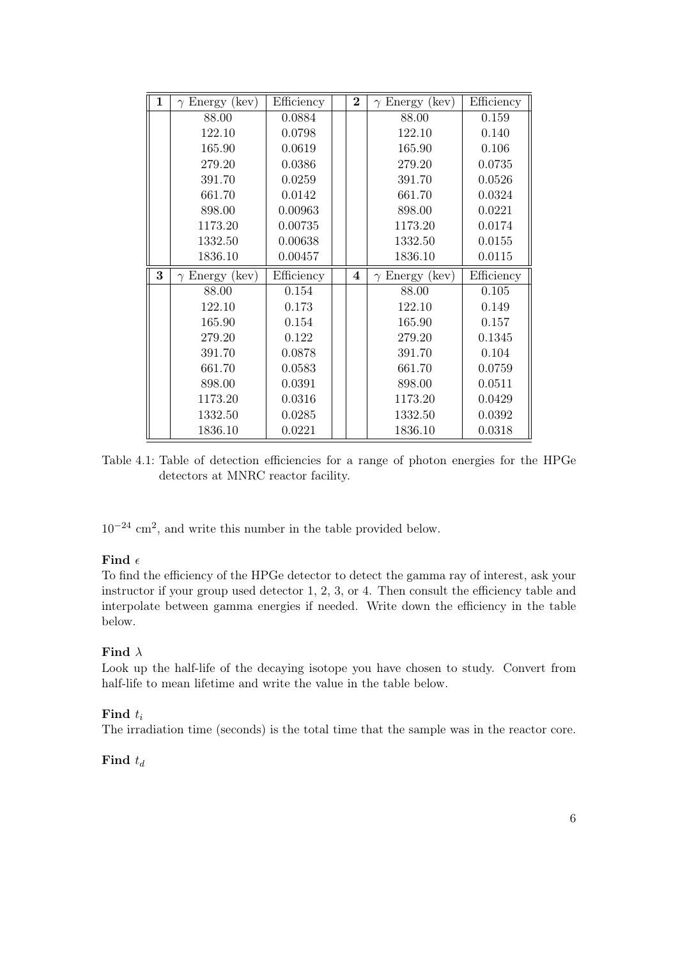| $\mathbf{1}$ | $\gamma$ Energy (kev) | Efficiency | $\bf{2}$ | $\gamma$ Energy (kev) | Efficiency |
|--------------|-----------------------|------------|----------|-----------------------|------------|
|              | 88.00                 | 0.0884     |          | 88.00                 | 0.159      |
|              | 122.10                | 0.0798     |          | 122.10                | 0.140      |
|              | 165.90                | 0.0619     |          | 165.90                | 0.106      |
|              | 279.20                | 0.0386     |          | 279.20                | 0.0735     |
|              | 391.70                | 0.0259     |          | 391.70                | 0.0526     |
|              | 661.70                | 0.0142     |          | 661.70                | 0.0324     |
|              | 898.00                | 0.00963    |          | 898.00                | 0.0221     |
|              | 1173.20               | 0.00735    |          | 1173.20               | 0.0174     |
|              | 1332.50               | 0.00638    |          | 1332.50               | 0.0155     |
|              | 1836.10               | 0.00457    |          | 1836.10               | 0.0115     |
| 3            | $\gamma$ Energy (kev) | Efficiency | 4        | $\gamma$ Energy (kev) | Efficiency |
|              |                       |            |          |                       |            |
|              | 88.00                 | 0.154      |          | 88.00                 | 0.105      |
|              | 122.10                | 0.173      |          | 122.10                | 0.149      |
|              | 165.90                | 0.154      |          | 165.90                | 0.157      |
|              | 279.20                | 0.122      |          | 279.20                | 0.1345     |
|              | 391.70                | 0.0878     |          | 391.70                | 0.104      |
|              | 661.70                | 0.0583     |          | 661.70                | 0.0759     |
|              | 898.00                | 0.0391     |          | 898.00                | 0.0511     |
|              | 1173.20               | 0.0316     |          | 1173.20               | 0.0429     |
|              | 1332.50               | 0.0285     |          | 1332.50               | 0.0392     |

Table 4.1: Table of detection efficiencies for a range of photon energies for the HPGe detectors at MNRC reactor facility.

 $10^{-24}$  cm<sup>2</sup>, and write this number in the table provided below.

## Find  $\epsilon$

To find the efficiency of the HPGe detector to detect the gamma ray of interest, ask your instructor if your group used detector 1, 2, 3, or 4. Then consult the efficiency table and interpolate between gamma energies if needed. Write down the efficiency in the table below.

## Find  $\lambda$

Look up the half-life of the decaying isotope you have chosen to study. Convert from half-life to mean lifetime and write the value in the table below.

## Find  $t_i$

The irradiation time (seconds) is the total time that the sample was in the reactor core.

## Find  $t_d$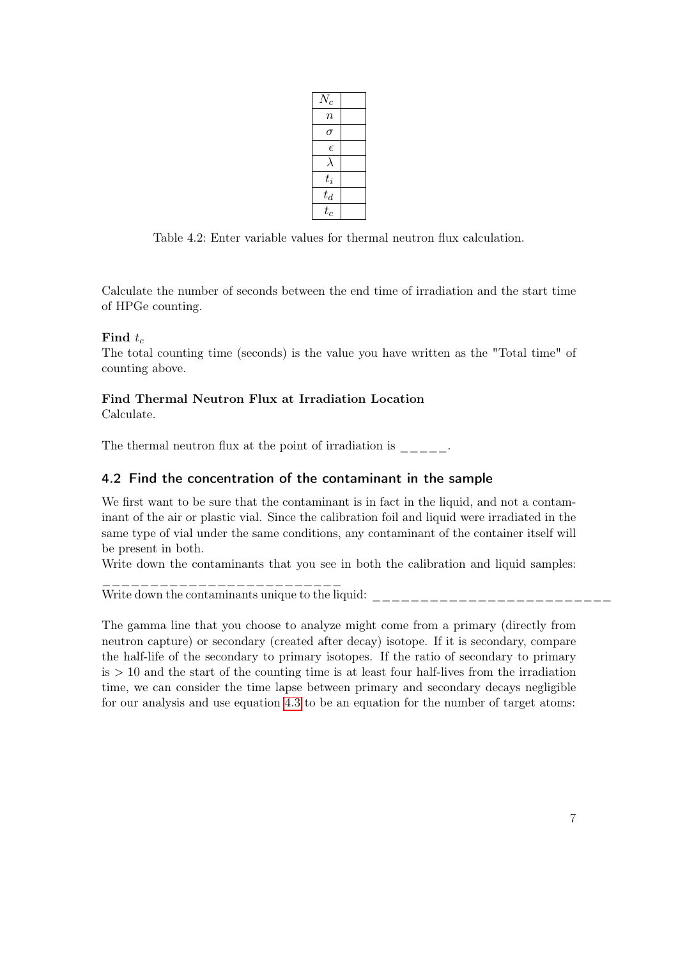| $N_c$      |  |
|------------|--|
| $\it{n}$   |  |
| σ          |  |
| $\epsilon$ |  |
| ⟩          |  |
| $t_i$      |  |
| $t_d$      |  |
| $t_c$      |  |

Table 4.2: Enter variable values for thermal neutron flux calculation.

Calculate the number of seconds between the end time of irradiation and the start time of HPGe counting.

## Find  $t_c$

The total counting time (seconds) is the value you have written as the "Total time" of counting above.

## Find Thermal Neutron Flux at Irradiation Location

Calculate.

The thermal neutron flux at the point of irradiation is  $\qquad \qquad$ .

## 4.2 Find the concentration of the contaminant in the sample

We first want to be sure that the contaminant is in fact in the liquid, and not a contaminant of the air or plastic vial. Since the calibration foil and liquid were irradiated in the same type of vial under the same conditions, any contaminant of the container itself will be present in both.

Write down the contaminants that you see in both the calibration and liquid samples:

\_\_\_\_\_\_\_\_\_\_\_\_\_\_\_\_\_\_\_\_\_\_\_\_\_ Write down the contaminants unique to the liquid: \_\_\_\_\_\_\_\_\_\_\_\_\_\_\_\_\_\_\_\_\_\_\_\_\_\_\_\_\_\_

The gamma line that you choose to analyze might come from a primary (directly from neutron capture) or secondary (created after decay) isotope. If it is secondary, compare the half-life of the secondary to primary isotopes. If the ratio of secondary to primary  $is > 10$  and the start of the counting time is at least four half-lives from the irradiation time, we can consider the time lapse between primary and secondary decays negligible for our analysis and use equation [4.3](#page-3-0) to be an equation for the number of target atoms: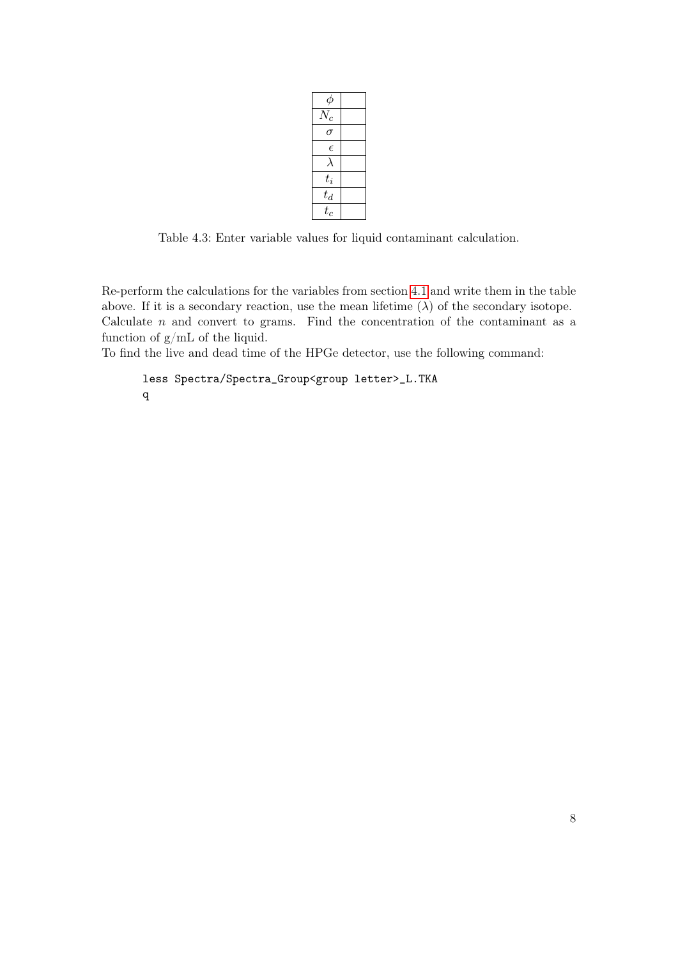| φ          |  |
|------------|--|
| $N_c$      |  |
| σ          |  |
| $\epsilon$ |  |
| λ          |  |
| $t_i$      |  |
| $t_d$      |  |
| $t_c$      |  |

Table 4.3: Enter variable values for liquid contaminant calculation.

Re-perform the calculations for the variables from section [4.1](#page-3-1) and write them in the table above. If it is a secondary reaction, use the mean lifetime  $(\lambda)$  of the secondary isotope. Calculate  $n$  and convert to grams. Find the concentration of the contaminant as a function of g/mL of the liquid.

To find the live and dead time of the HPGe detector, use the following command:

```
less Spectra/Spectra_Group<group letter>_L.TKA
q
```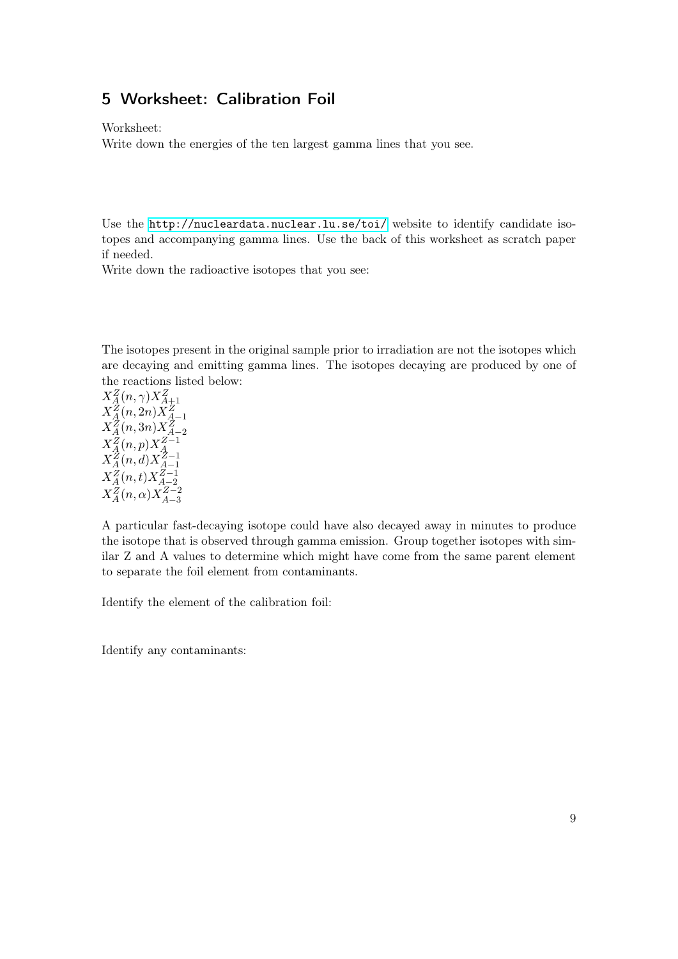# 5 Worksheet: Calibration Foil

Worksheet:

Write down the energies of the ten largest gamma lines that you see.

Use the <http://nucleardata.nuclear.lu.se/toi/> website to identify candidate isotopes and accompanying gamma lines. Use the back of this worksheet as scratch paper if needed.

Write down the radioactive isotopes that you see:

The isotopes present in the original sample prior to irradiation are not the isotopes which are decaying and emitting gamma lines. The isotopes decaying are produced by one of the reactions listed below:

 $X^Z_A(n,\gamma) X^Z_{A+1} \ X^Z_A(n,2n) X^Z_{A-1} \ X^Z_A(n,3n) X^Z_{A-2}$  $X^Z_A(n,p)X^{Z-1}_A$  $X^Z_A(n,d)X^{Z-1}_{A-1}$  $A-1$  $X_A^Z(n,t)X_{A-2}^{Z-1}$  $A-2$  $X_A^Z(n, \alpha) X_{A-3}^{Z-2}$ A−3

A particular fast-decaying isotope could have also decayed away in minutes to produce the isotope that is observed through gamma emission. Group together isotopes with similar Z and A values to determine which might have come from the same parent element to separate the foil element from contaminants.

Identify the element of the calibration foil:

Identify any contaminants: